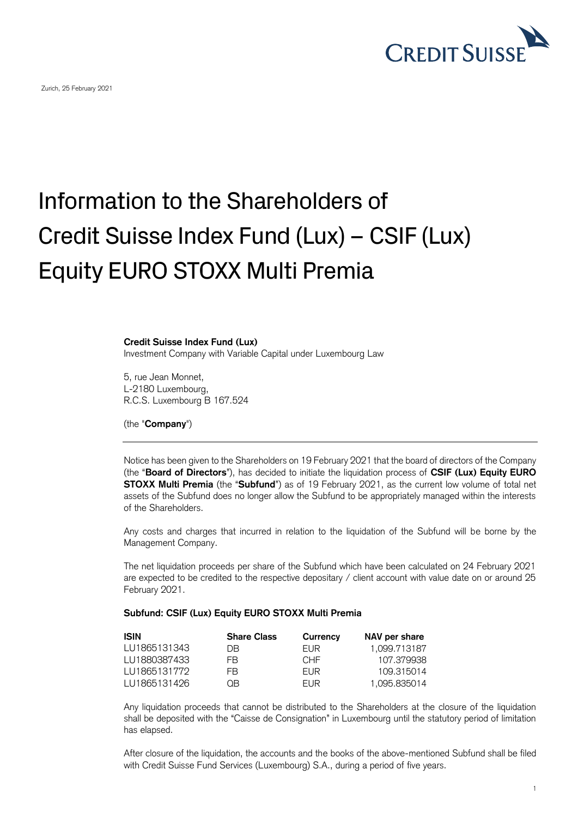

## Information to the Shareholders of Credit Suisse Index Fund (Lux) – CSIF (Lux) Equity EURO STOXX Multi Premia

## **Credit Suisse Index Fund (Lux)**

Investment Company with Variable Capital under Luxembourg Law

5, rue Jean Monnet, L-2180 Luxembourg, R.C.S. Luxembourg B 167.524

(the "**Company**")

Notice has been given to the Shareholders on 19 February 2021 that the board of directors of the Company (the "**Board of Directors**"), has decided to initiate the liquidation process of **CSIF (Lux) Equity EURO STOXX Multi Premia** (the "**Subfund**") as of 19 February 2021, as the current low volume of total net assets of the Subfund does no longer allow the Subfund to be appropriately managed within the interests of the Shareholders.

Any costs and charges that incurred in relation to the liquidation of the Subfund will be borne by the Management Company.

The net liquidation proceeds per share of the Subfund which have been calculated on 24 February 2021 are expected to be credited to the respective depositary / client account with value date on or around 25 February 2021.

## **Subfund: CSIF (Lux) Equity EURO STOXX Multi Premia**

| <b>ISIN</b>  | <b>Share Class</b> | Currency        | NAV per share |
|--------------|--------------------|-----------------|---------------|
| LU1865131343 | DВ                 | <b>FUR</b>      | 1.099.713187  |
| LU1880387433 | FR.                | CHE <sup></sup> | 107.379938    |
| LU1865131772 | FR.                | <b>FUR</b>      | 109.315014    |
| LU1865131426 | ΩR                 | <b>FUR</b>      | 1.095.835014  |

Any liquidation proceeds that cannot be distributed to the Shareholders at the closure of the liquidation shall be deposited with the "Caisse de Consignation" in Luxembourg until the statutory period of limitation has elapsed.

After closure of the liquidation, the accounts and the books of the above-mentioned Subfund shall be filed with Credit Suisse Fund Services (Luxembourg) S.A., during a period of five years.